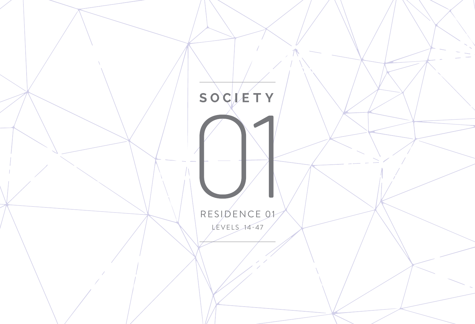